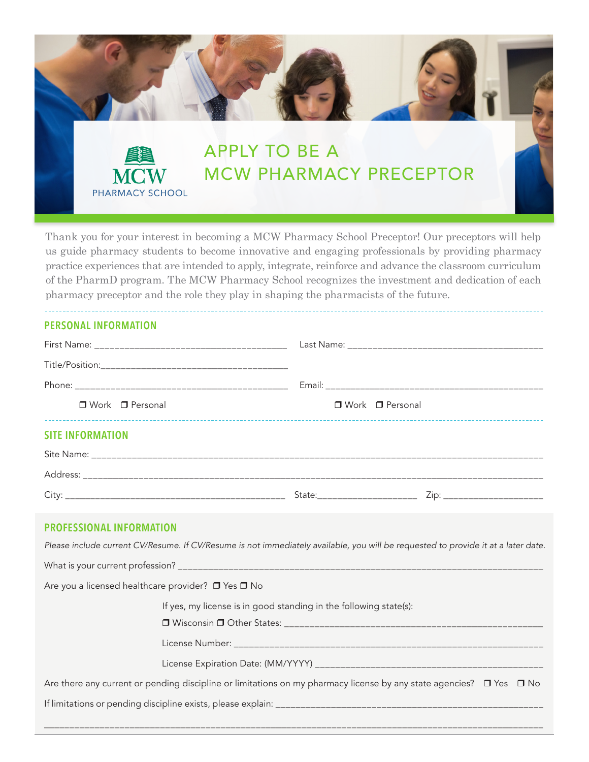

Thank you for your interest in becoming a MCW Pharmacy School Preceptor! Our preceptors will help us guide pharmacy students to become innovative and engaging professionals by providing pharmacy practice experiences that are intended to apply, integrate, reinforce and advance the classroom curriculum of the PharmD program. The MCW Pharmacy School recognizes the investment and dedication of each pharmacy preceptor and the role they play in shaping the pharmacists of the future.

# **PERSONAL INFORMATION**

| □ Work □ Personal                                                                                                             | □ Work □ Personal                                                                                                                 |  |  |
|-------------------------------------------------------------------------------------------------------------------------------|-----------------------------------------------------------------------------------------------------------------------------------|--|--|
| <b>SITE INFORMATION</b>                                                                                                       |                                                                                                                                   |  |  |
|                                                                                                                               |                                                                                                                                   |  |  |
|                                                                                                                               |                                                                                                                                   |  |  |
|                                                                                                                               | Zip: ________________________                                                                                                     |  |  |
| <b>PROFESSIONAL INFORMATION</b>                                                                                               |                                                                                                                                   |  |  |
|                                                                                                                               | Please include current CV/Resume. If CV/Resume is not immediately available, you will be requested to provide it at a later date. |  |  |
|                                                                                                                               |                                                                                                                                   |  |  |
| Are you a licensed healthcare provider? □ Yes □ No                                                                            |                                                                                                                                   |  |  |
| If yes, my license is in good standing in the following state(s):                                                             |                                                                                                                                   |  |  |
|                                                                                                                               |                                                                                                                                   |  |  |
|                                                                                                                               |                                                                                                                                   |  |  |
| Are there any current or pending discipline or limitations on my pharmacy license by any state agencies? $\Box$ Yes $\Box$ No |                                                                                                                                   |  |  |
|                                                                                                                               |                                                                                                                                   |  |  |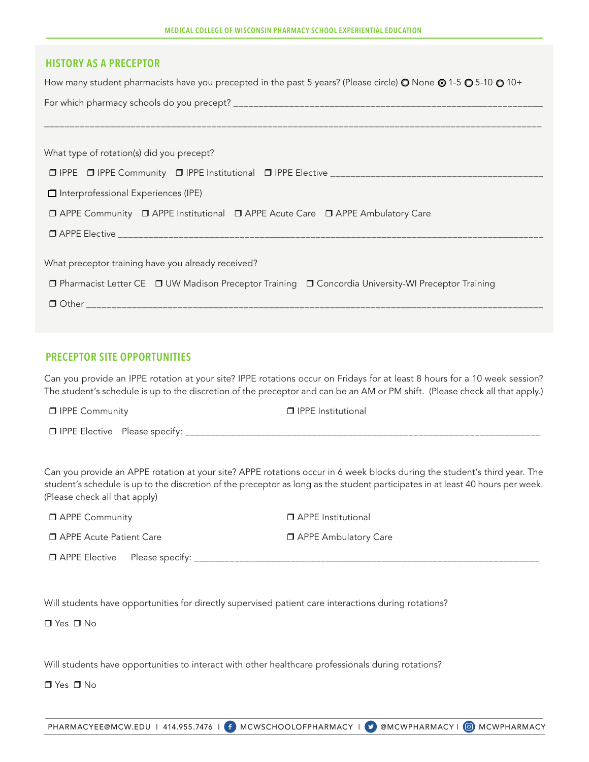| MEDICAL COLLEGE OF WISCONSIN PHARMACY SCHOOL EXPERIENTIAL EDUCATION |  |
|---------------------------------------------------------------------|--|
|---------------------------------------------------------------------|--|

# **HISTORY AS A PRECEPTOR**

How many student pharmacists have you precepted in the past 5 years? (Please circle)  $\bullet$  None  $\bullet$  1-5  $\bullet$  5-10  $\bullet$  10+

| What type of rotation(s) did you precept?                                                           |  |  |
|-----------------------------------------------------------------------------------------------------|--|--|
|                                                                                                     |  |  |
| □ Interprofessional Experiences (IPE)                                                               |  |  |
| □ APPE Community □ APPE Institutional □ APPE Acute Care □ APPE Ambulatory Care                      |  |  |
|                                                                                                     |  |  |
|                                                                                                     |  |  |
| What preceptor training have you already received?                                                  |  |  |
| □ Pharmacist Letter CE □ UW Madison Preceptor Training □ Concordia University-WI Preceptor Training |  |  |
|                                                                                                     |  |  |

### **PRECEPTOR SITE OPPORTUNITIES**

Can you provide an IPPE rotation at your site? IPPE rotations occur on Fridays for at least 8 hours for a 10 week session? The student's schedule is up to the discretion of the preceptor and can be an AM or PM shift. (Please check all that apply.)

 $\Box$  IPPE Community  $\Box$  IPPE Institutional IPPE Elective Please specify: \_\_\_\_\_\_\_\_\_\_\_\_\_\_\_\_\_\_\_\_\_\_\_\_\_\_\_\_\_\_\_\_\_\_\_\_\_\_\_\_\_\_\_\_\_\_\_\_\_\_\_\_\_\_\_\_\_\_\_\_\_\_\_\_\_\_\_\_\_\_

Can you provide an APPE rotation at your site? APPE rotations occur in 6 week blocks during the student's third year. The student's schedule is up to the discretion of the preceptor as long as the student participates in at least 40 hours per week. (Please check all that apply)

| <b>D</b> APPE Community              | <b>D</b> APPE Institutional |
|--------------------------------------|-----------------------------|
| □ APPE Acute Patient Care            | □ APPE Ambulatory Care      |
| $\Box$ APPE Elective Please specify: |                             |

Will students have opportunities for directly supervised patient care interactions during rotations?

 $\Box$  Yes  $\Box$  No.

Will students have opportunities to interact with other healthcare professionals during rotations?

□ Yes □ No